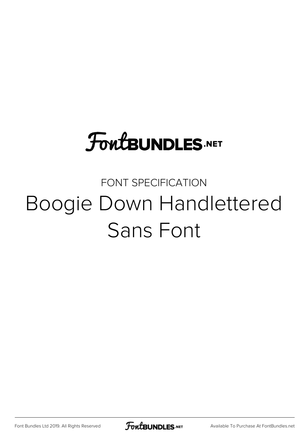# **FoutBUNDLES.NET**

## FONT SPECIFICATION Boogie Down Handlettered Sans Font

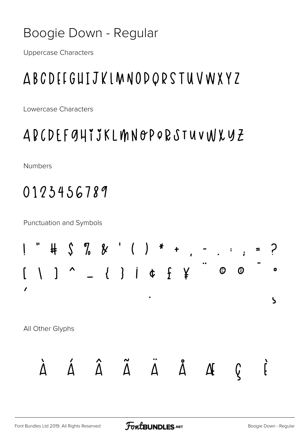#### Boogie Down - Regular

**Uppercase Characters** 

### ABCDEEGUIJKLMNODQRSTUVWXYZ

Lowercase Characters

#### ABCDEFGHIJKLMNOPORSTUVWXYZ

**Numbers** 

#### 0123456789

**Punctuation and Symbols** 

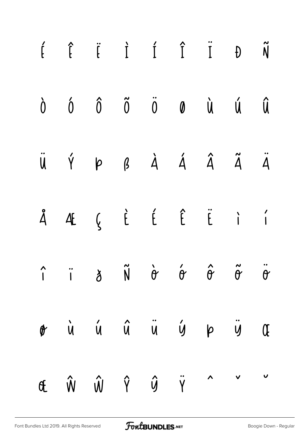| $\begin{matrix} \hat{f} & \hat{f} & \hat{f} & \hat{I} & \hat{I} & \hat{I} & \hat{I} & \hat{N} \end{matrix}$                            |  |  |  |  |
|----------------------------------------------------------------------------------------------------------------------------------------|--|--|--|--|
| $\begin{array}{ccccccccccccc}\n\dot{0} & \dot{0} & \dot{0} & \ddot{0} & \ddot{0} & \dot{0} & \dot{0} & \dot{0} & \dot{0}\n\end{array}$ |  |  |  |  |
| ÜÝ P B À Á Â Ã Ä                                                                                                                       |  |  |  |  |
| Å Æ Ç È É Ë Ë I '                                                                                                                      |  |  |  |  |
|                                                                                                                                        |  |  |  |  |
| or ù ú û ü ý p ÿ Œ                                                                                                                     |  |  |  |  |
| E Ŵ Ŵ Ŷ Ŷ Ÿ ^ v v                                                                                                                      |  |  |  |  |